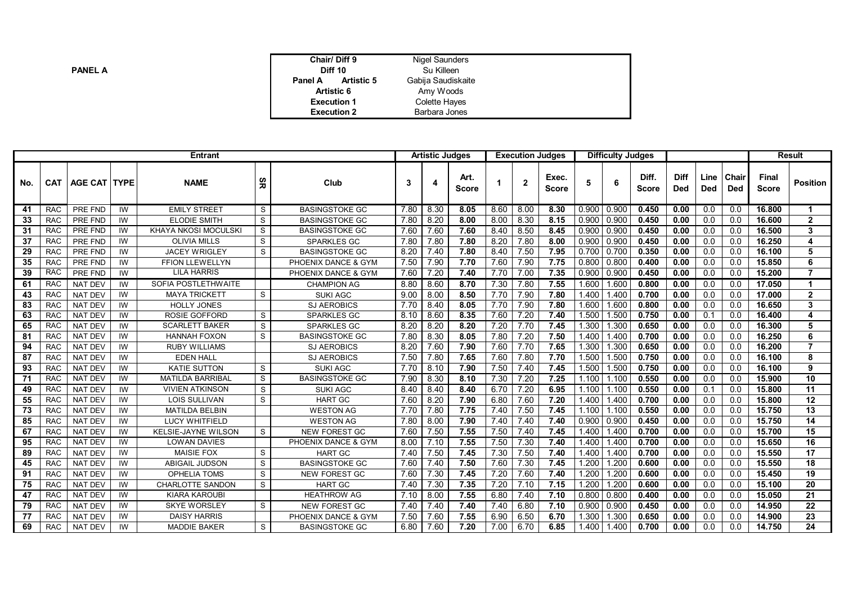| <b>PANEL A</b> |
|----------------|
|----------------|

| Chair/Diff 9<br><b>Diff 10</b> | Nigel Saunders<br>Su Killeen |  |
|--------------------------------|------------------------------|--|
| <b>Artistic 5</b><br>Panel A   | Gabija Saudiskaite           |  |
| Artistic 6                     | Amy Woods                    |  |
| <b>Execution 1</b>             | <b>Colette Hayes</b>         |  |
| <b>Execution 2</b>             | Barbara Jones                |  |

| <b>Entrant</b> |            |                |                |                         | <b>Artistic Judges</b> |                       |      |      |                      | <b>Execution Judges</b> |      | <b>Difficulty Judges</b> |               |       |                       |             | <b>Result</b>      |                     |                       |                 |
|----------------|------------|----------------|----------------|-------------------------|------------------------|-----------------------|------|------|----------------------|-------------------------|------|--------------------------|---------------|-------|-----------------------|-------------|--------------------|---------------------|-----------------------|-----------------|
| No.            | <b>CAT</b> | AGE CAT   TYPE |                | <b>NAME</b>             | ΨR                     | Club                  | 3    | 4    | Art.<br><b>Score</b> |                         | -2   | Exec.<br><b>Score</b>    | 5             | 6     | Diff.<br><b>Score</b> | Diff<br>Ded | Line<br><b>Ded</b> | <b>Chair</b><br>Ded | Final<br><b>Score</b> | <b>Position</b> |
| 41             | <b>RAC</b> | PRE FND        | $\overline{W}$ | <b>EMILY STREET</b>     | S                      | <b>BASINGSTOKE GC</b> | 7.80 | 8.30 | 8.05                 | 8.60                    | 8.00 | 8,30                     | 0.900   0.900 |       | 0.450                 | 0.00        | $\overline{0.0}$   | $\overline{0.0}$    | 16.800                |                 |
| 33             | <b>RAC</b> | PRE FND        | IW             | <b>ELODIE SMITH</b>     | S                      | <b>BASINGSTOKE GC</b> | 7.80 | 8.20 | 8.00                 | 8.00                    | 8.30 | 8.15                     | 0.900         | 0.900 | 0.450                 | 0.00        | 0.0                | 0.0                 | 16.600                | $\overline{2}$  |
| 31             | <b>RAC</b> | PRE FND        | IW             | KHAYA NKOSI MOCULSKI    | S                      | <b>BASINGSTOKE GC</b> | 7.60 | 7.60 | 7.60                 | 8.40                    | 8.50 | 8.45                     | 0.900         | 0.900 | 0.450                 | 0.00        | 0.0                | 0.0                 | 16.500                | 3               |
| 37             | <b>RAC</b> | PRE FND        | IW             | <b>OLIVIA MILLS</b>     | S                      | <b>SPARKLES GC</b>    | 7.80 | 7.80 | 7.80                 | 8.20                    | 7.80 | 8.00                     | 0.900         | 0.900 | 0.450                 | 0.00        | 0.0                | 0.0                 | 16.250                | 4               |
| 29             | <b>RAC</b> | <b>PRE FND</b> | IW             | <b>JACEY WRIGLEY</b>    | S                      | <b>BASINGSTOKE GC</b> | 8.20 | 7.40 | 7.80                 | 8.40                    | 7.50 | 7.95                     | $0.700$ 0.700 |       | 0.350                 | 0.00        | 0.0                | 0.0                 | 16.100                | 5               |
| 35             | <b>RAC</b> | PRE FND        | IW             | <b>FFION LLEWELLYN</b>  |                        | PHOENIX DANCE & GYM   | 7.50 | 7.90 | 7.70                 | 7.60                    | 7.90 | 7.75                     | $0.800$ 0.800 |       | 0.400                 | 0.00        | 0.0                | 0.0                 | 15.850                | 6               |
| 39             | <b>RAC</b> | PRE FND        | IW             | <b>LILA HARRIS</b>      |                        | PHOENIX DANCE & GYM   | 7.60 | 7.20 | 7.40                 | 7.70                    | 7.00 | 7.35                     | 0.900   0.900 |       | 0.450                 | 0.00        | 0.0                | 0.0                 | 15.200                | 7               |
| 61             | <b>RAC</b> | <b>NAT DEV</b> | IW             | SOFIA POSTLETHWAITE     |                        | <b>CHAMPION AG</b>    | 8.80 | 8.60 | 8.70                 | 7.30                    | 7.80 | 7.55                     | 1.600         | 1.600 | 0.800                 | 0.00        | 0.0                | 0.0                 | 17.050                |                 |
| 43             | <b>RAC</b> | <b>NAT DEV</b> | IW             | <b>MAYA TRICKETT</b>    | S                      | <b>SUKI AGC</b>       | 9.00 | 8.00 | 8.50                 | 7.70                    | 7.90 | 7.80                     | 1.400         | 1.400 | 0.700                 | 0.00        | 0.0                | 0.0                 | 17.000                | $\overline{2}$  |
| 83             | <b>RAC</b> | <b>NAT DEV</b> | IW             | <b>HOLLY JONES</b>      |                        | <b>SJ AEROBICS</b>    | 7.70 | 8.40 | 8.05                 | 7.70                    | 7.90 | 7.80                     | 1.600         | 1.600 | 0.800                 | 0.00        | 0.0                | 0.0                 | 16.650                | 3               |
| 63             | <b>RAC</b> | <b>NAT DEV</b> | IW             | <b>ROSIE GOFFORD</b>    | S                      | <b>SPARKLES GC</b>    | 8.10 | 8.60 | 8.35                 | 7.60                    | 7.20 | 7.40                     | 1.500         | 1.500 | 0.750                 | 0.00        | 0.1                | 0.0                 | 16.400                |                 |
| 65             | <b>RAC</b> | <b>NAT DEV</b> | IW             | <b>SCARLETT BAKER</b>   | S                      | <b>SPARKLES GC</b>    | 8.20 | 8.20 | 8.20                 | 7.20                    | 7.70 | 7.45                     | 1.300         | 1.300 | 0.650                 | 0.00        | 0.0                | 0.0                 | 16.300                | 5               |
| 81             | <b>RAC</b> | <b>NAT DEV</b> | IW             | <b>HANNAH FOXON</b>     | S                      | <b>BASINGSTOKE GC</b> | 7.80 | 8.30 | 8.05                 | 7.80                    | 7.20 | 7.50                     | 1.400         | 1.400 | 0.700                 | 0.00        | 0.0                | 0.0                 | 16.250                | 6               |
| 94             | <b>RAC</b> | <b>NAT DEV</b> | IW             | <b>RUBY WILLIAMS</b>    |                        | <b>SJ AEROBICS</b>    | 8.20 | 7.60 | 7.90                 | 7.60                    | 7.70 | 7.65                     | 1.300         | 1.300 | 0.650                 | 0.00        | 0.0                | 0.0                 | 16.200                |                 |
| 87             | <b>RAC</b> | NAT DEV        | IW             | <b>EDEN HALL</b>        |                        | <b>SJ AEROBICS</b>    | 7.50 | 7.80 | 7.65                 | 7.60                    | 7.80 | 7.70                     | 1.500         | 1.500 | 0.750                 | 0.00        | 0.0                | 0.0                 | 16.100                | 8               |
| 93             | <b>RAC</b> | <b>NAT DEV</b> | IW             | <b>KATIE SUTTON</b>     | S                      | <b>SUKI AGC</b>       | 7.70 | 8.10 | 7.90                 | 7.50                    | 7.40 | 7.45                     | 1.500         | 1.500 | 0.750                 | 0.00        | 0.0                | 0.0                 | 16.100                | 9               |
| 71             | <b>RAC</b> | <b>NAT DEV</b> | IW             | <b>MATILDA BARRIBAL</b> | S                      | <b>BASINGSTOKE GC</b> | 7.90 | 8.30 | 8.10                 | 7.30                    | 7.20 | 7.25                     | 1.100         | 1.100 | 0.550                 | 0.00        | 0.0                | 0.0                 | 15.900                | 10              |
| 49             | <b>RAC</b> | <b>NAT DEV</b> | IW             | <b>VIVIEN ATKINSON</b>  | S                      | <b>SUKI AGC</b>       | 8.40 | 8.40 | 8.40                 | 6.70                    | 7.20 | 6.95                     | 1.100         | 1.100 | 0.550                 | 0.00        | 0.1                | 0.0                 | 15,800                | 11              |
| 55             | <b>RAC</b> | <b>NAT DEV</b> | IW             | <b>LOIS SULLIVAN</b>    | S                      | <b>HART GC</b>        | 7.60 | 8.20 | 7.90                 | 6.80                    | 7.60 | 7.20                     | 1.400         | 1.400 | 0.700                 | 0.00        | 0.0                | 0.0                 | 15.800                | 12              |
| 73             | <b>RAC</b> | <b>NAT DEV</b> | IW             | <b>MATILDA BELBIN</b>   |                        | <b>WESTON AG</b>      | 7.70 | 7.80 | 7.75                 | 7.40                    | 7.50 | 7.45                     | 1.100         | 1.100 | 0.550                 | 0.00        | 0.0                | 0.0                 | 15.750                | 13              |
| 85             | <b>RAC</b> | <b>NAT DEV</b> | IW             | <b>LUCY WHITFIELD</b>   |                        | <b>WESTON AG</b>      | 7.80 | 8.00 | 7.90                 | 7.40                    | 7.40 | 7.40                     | 0.900         | 0.900 | 0.450                 | 0.00        | 0.0                | 0.0                 | 15.750                | 14              |
| 67             | <b>RAC</b> | <b>NAT DEV</b> | IW             | KELSIE-JAYNE WILSON     | S                      | <b>NEW FOREST GC</b>  | 7.60 | 7.50 | 7.55                 | 7.50                    | 7.40 | 7.45                     | 1.400         | 1.400 | 0.700                 | 0.00        | 0.0                | 0.0                 | 15.700                | 15              |
| 95             | <b>RAC</b> | <b>NAT DEV</b> | IW             | <b>LOWAN DAVIES</b>     |                        | PHOENIX DANCE & GYM   | 8.00 | 7.10 | 7.55                 | 7.50                    | 7.30 | 7.40                     | 1.400         | 1.400 | 0.700                 | 0.00        | 0.0                | 0.0                 | 15.650                | 16              |
| 89             | <b>RAC</b> | <b>NAT DEV</b> | IW             | <b>MAISIE FOX</b>       | S                      | <b>HART GC</b>        | 7.40 | 7.50 | 7.45                 | 7.30                    | 7.50 | 7.40                     | 1.400         | 1.400 | 0.700                 | 0.00        | 0.0                | 0.0                 | 15.550                | 17              |
| 45             | <b>RAC</b> | <b>NAT DEV</b> | IW             | <b>ABIGAIL JUDSON</b>   | S                      | <b>BASINGSTOKE GC</b> | 7.60 | 7.40 | 7.50                 | 7.60                    | 7.30 | 7.45                     | 1.200         | 1.200 | 0.600                 | 0.00        | 0.0                | 0.0                 | 15.550                | $\overline{18}$ |
| 91             | <b>RAC</b> | <b>NAT DEV</b> | IW             | <b>OPHELIA TOMS</b>     | S                      | <b>NEW FOREST GC</b>  | 7.60 | 7.30 | 7.45                 | 7.20                    | 7.60 | 7.40                     | 1.200         | 1.200 | 0.600                 | 0.00        | 0.0                | 0.0                 | 15.450                | $\overline{19}$ |
| 75             | <b>RAC</b> | <b>NAT DEV</b> | IW             | <b>CHARLOTTE SANDON</b> | S                      | <b>HART GC</b>        | 7.40 | 7.30 | 7.35                 | 7.20                    | 7.10 | 7.15                     | 1.200         | 1.200 | 0.600                 | 0.00        | 0.0                | 0.0                 | 15.100                | 20              |
| 47             | <b>RAC</b> | <b>NAT DEV</b> | IW             | <b>KIARA KAROUBI</b>    |                        | <b>HEATHROW AG</b>    | 7.10 | 8.00 | 7.55                 | 6.80                    | 7.40 | 7.10                     | 0.800         | 0.800 | 0.400                 | 0.00        | 0.0                | 0.0                 | 15.050                | 21              |
| 79             | <b>RAC</b> | <b>NAT DEV</b> | IW             | <b>SKYE WORSLEY</b>     | S                      | <b>NEW FOREST GC</b>  | 7.40 | 7.40 | 7.40                 | 7.40                    | 6.80 | 7.10                     | 0.900         | 0.900 | 0.450                 | 0.00        | 0.0                | 0.0                 | 14.950                | 22              |
| 77             | <b>RAC</b> | <b>NAT DEV</b> | IW             | <b>DAISY HARRIS</b>     |                        | PHOENIX DANCE & GYM   | 7.50 | 7.60 | 7.55                 | 6.90                    | 6.50 | 6.70                     | 1.300         | 1.300 | 0.650                 | 0.00        | 0.0                | 0.0                 | 14.900                | 23              |
| 69             | <b>RAC</b> | <b>NAT DEV</b> | IW             | <b>MADDIE BAKER</b>     | S                      | <b>BASINGSTOKE GC</b> | 6.80 | 7.60 | 7.20                 | 7.00                    | 6.70 | 6.85                     | 1.400         | 1.400 | 0.700                 | 0.00        | 0.0                | 0.0                 | 14.750                | 24              |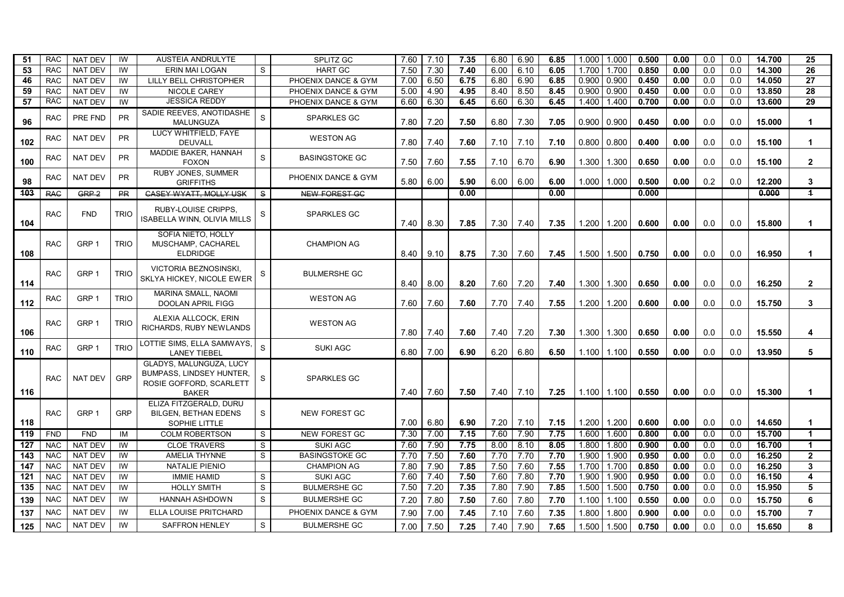| -51 | <b>RAC</b> | <b>NAT DEV</b> | IW          | AUSTEIA ANDRULYTE                                                                                     |    | <b>SPLITZ GC</b>      | 7.60 | 7.10 | 7.35 | 6.80 | 6.90 | 6.85 | 1.000 | 1.000           | 0.500 | 0.00 | 0.0 | 0.0 | 14.700 | 25                      |
|-----|------------|----------------|-------------|-------------------------------------------------------------------------------------------------------|----|-----------------------|------|------|------|------|------|------|-------|-----------------|-------|------|-----|-----|--------|-------------------------|
| 53  | <b>RAC</b> | <b>NAT DEV</b> | IW          | <b>ERIN MAI LOGAN</b>                                                                                 | S. | <b>HART GC</b>        | 7.50 | 7.30 | 7.40 | 6.00 | 6.10 | 6.05 | 1.700 | 1.700           | 0.850 | 0.00 | 0.0 | 0.0 | 14.300 | 26                      |
| 46  | <b>RAC</b> | <b>NAT DEV</b> | IW          | LILLY BELL CHRISTOPHER                                                                                |    | PHOENIX DANCE & GYM   | 7.00 | 6.50 | 6.75 | 6.80 | 6.90 | 6.85 | 0.900 | 0.900           | 0.450 | 0.00 | 0.0 | 0.0 | 14.050 | 27                      |
| 59  | <b>RAC</b> | <b>NAT DEV</b> | IW          | <b>NICOLE CAREY</b>                                                                                   |    | PHOENIX DANCE & GYM   | 5.00 | 4.90 | 4.95 | 8.40 | 8.50 | 8.45 | 0.900 | 0.900           | 0.450 | 0.00 | 0.0 | 0.0 | 13.850 | 28                      |
| 57  | <b>RAC</b> | <b>NAT DEV</b> | IW          | <b>JESSICA REDDY</b>                                                                                  |    | PHOENIX DANCE & GYM   | 6.60 | 6.30 | 6.45 | 6.60 | 6.30 | 6.45 | 1.400 | 1.400           | 0.700 | 0.00 | 0.0 | 0.0 | 13.600 | 29                      |
| 96  | <b>RAC</b> | PRE FND        | <b>PR</b>   | SADIE REEVES, ANOTIDASHE<br><b>MALUNGUZA</b>                                                          | S  | <b>SPARKLES GC</b>    | 7.80 | 7.20 | 7.50 | 6.80 | 7.30 | 7.05 | 0.900 | 0.900           | 0.450 | 0.00 | 0.0 | 0.0 | 15.000 | $\mathbf{1}$            |
| 102 | <b>RAC</b> | <b>NAT DEV</b> | <b>PR</b>   | LUCY WHITFIELD, FAYE<br><b>DEUVALL</b>                                                                |    | <b>WESTON AG</b>      | 7.80 | 7.40 | 7.60 | 7.10 | 7.10 | 7.10 | 0.800 | 0.800           | 0.400 | 0.00 | 0.0 | 0.0 | 15.100 |                         |
| 100 | <b>RAC</b> | <b>NAT DEV</b> | <b>PR</b>   | MADDIE BAKER, HANNAH<br><b>FOXON</b>                                                                  | S  | <b>BASINGSTOKE GC</b> | 7.50 | 7.60 | 7.55 | 7.10 | 6.70 | 6.90 | 1.300 | 1.300           | 0.650 | 0.00 | 0.0 | 0.0 | 15.100 | $\mathbf{2}$            |
| 98  | <b>RAC</b> | <b>NAT DEV</b> | <b>PR</b>   | <b>RUBY JONES, SUMMER</b><br><b>GRIFFITHS</b>                                                         |    | PHOENIX DANCE & GYM   | 5.80 | 6.00 | 5.90 | 6.00 | 6.00 | 6.00 | 1.000 | 1.000           | 0.500 | 0.00 | 0.2 | 0.0 | 12.200 | 3                       |
| 103 | <b>RAG</b> | $GRP-2$        | <b>PR</b>   | <b>CASEY WYATT, MOLLY USK</b>                                                                         | S. | NEW FOREST GC         |      |      | 0.00 |      |      | 0.00 |       |                 | 0.000 |      |     |     | 0.000  | $\overline{1}$          |
| 104 | <b>RAC</b> | <b>FND</b>     | <b>TRIO</b> | <b>RUBY-LOUISE CRIPPS.</b><br>ISABELLA WINN, OLIVIA MILLS                                             | S  | <b>SPARKLES GC</b>    | 7.40 | 8.30 | 7.85 | 7.30 | 7.40 | 7.35 | 1.200 | 1.200           | 0.600 | 0.00 | 0.0 | 0.0 | 15.800 | $\mathbf{1}$            |
| 108 | <b>RAC</b> | GRP 1          | <b>TRIO</b> | SOFIA NIETO, HOLLY<br>MUSCHAMP, CACHAREL<br><b>ELDRIDGE</b>                                           |    | <b>CHAMPION AG</b>    | 8.40 | 9.10 | 8.75 | 7.30 | 7.60 | 7.45 |       | 1.500   1.500   | 0.750 | 0.00 | 0.0 | 0.0 | 16.950 | $\mathbf{1}$            |
| 114 | <b>RAC</b> | GRP 1          | trio        | <b>VICTORIA BEZNOSINSKI,</b><br>SKLYA HICKEY, NICOLE EWER                                             | S  | <b>BULMERSHE GC</b>   | 8.40 | 8.00 | 8.20 | 7.60 | 7.20 | 7.40 | 1.300 | 1.300           | 0.650 | 0.00 | 0.0 | 0.0 | 16.250 | $\overline{2}$          |
| 112 | <b>RAC</b> | GRP 1          | <b>TRIO</b> | <b>MARINA SMALL, NAOMI</b><br>DOOLAN APRIL FIGG                                                       |    | <b>WESTON AG</b>      | 7.60 | 7.60 | 7.60 | 7.70 | 7.40 | 7.55 | 1.200 | 1.200           | 0.600 | 0.00 | 0.0 | 0.0 | 15.750 | 3                       |
| 106 | <b>RAC</b> | GRP 1          | <b>TRIO</b> | ALEXIA ALLCOCK, ERIN<br>RICHARDS, RUBY NEWLANDS                                                       |    | <b>WESTON AG</b>      | 7.80 | 7.40 | 7.60 | 7.40 | 7.20 | 7.30 | 1.300 | 1.300           | 0.650 | 0.00 | 0.0 | 0.0 | 15.550 | 4                       |
| 110 | <b>RAC</b> | GRP 1          | <b>TRIO</b> | LOTTIE SIMS, ELLA SAMWAYS,<br><b>LANEY TIEBEL</b>                                                     | S  | <b>SUKI AGC</b>       | 6.80 | 7.00 | 6.90 | 6.20 | 6.80 | 6.50 | 1.100 | 1.100           | 0.550 | 0.00 | 0.0 | 0.0 | 13.950 | 5                       |
| 116 | <b>RAC</b> | <b>NAT DEV</b> | <b>GRP</b>  | GLADYS, MALUNGUZA, LUCY<br><b>BUMPASS, LINDSEY HUNTER,</b><br>ROSIE GOFFORD, SCARLETT<br><b>BAKER</b> | S  | <b>SPARKLES GC</b>    | 7.40 | 7.60 | 7.50 | 7.40 | 7.10 | 7.25 |       | $1.100$   1.100 | 0.550 | 0.00 | 0.0 | 0.0 | 15,300 |                         |
| 118 | <b>RAC</b> | GRP 1          | <b>GRP</b>  | ELIZA FITZGERALD, DURU<br><b>BILGEN, BETHAN EDENS</b><br>SOPHIE LITTLE                                | S  | NEW FOREST GC         | 7.00 | 6.80 | 6.90 | 7.20 | 7.10 | 7.15 | 1.200 | 1.200           | 0.600 | 0.00 | 0.0 | 0.0 | 14.650 | -1                      |
| 119 | <b>FND</b> | <b>FND</b>     | IM          | <b>COLM ROBERTSON</b>                                                                                 | S. | <b>NEW FOREST GC</b>  | 7.30 | 7.00 | 7.15 | 7.60 | 7.90 | 7.75 | 1.600 | 1.600           | 0.800 | 0.00 | 0.0 | 0.0 | 15.700 | $\overline{\mathbf{1}}$ |
| 127 | <b>NAC</b> | <b>NAT DEV</b> | IW          | <b>CLOE TRAVERS</b>                                                                                   | S  | <b>SUKI AGC</b>       | 7.60 | 7.90 | 7.75 | 8.00 | 8.10 | 8.05 | 1.800 | 1.800           | 0.900 | 0.00 | 0.0 | 0.0 | 16.700 | $\mathbf 1$             |
| 143 | <b>NAC</b> | <b>NAT DEV</b> | IW          | <b>AMELIA THYNNE</b>                                                                                  | S  | <b>BASINGSTOKE GC</b> | 7.70 | 7.50 | 7.60 | 7.70 | 7.70 | 7.70 | 1.900 | 1.900           | 0.950 | 0.00 | 0.0 | 0.0 | 16.250 | $\mathbf{2}$            |
| 147 | <b>NAC</b> | <b>NAT DEV</b> | IW          | NATALIE PIENIO                                                                                        |    | <b>CHAMPION AG</b>    | 7.80 | 7.90 | 7.85 | 7.50 | 7.60 | 7.55 | 1.700 | 1.700           | 0.850 | 0.00 | 0.0 | 0.0 | 16.250 | 3                       |
| 121 | <b>NAC</b> | NAT DEV        | IW          | <b>IMMIE HAMID</b>                                                                                    | S  | <b>SUKI AGC</b>       | 7.60 | 7.40 | 7.50 | 7.60 | 7.80 | 7.70 | 1.900 | 1.900           | 0.950 | 0.00 | 0.0 | 0.0 | 16.150 | $\overline{\mathbf{4}}$ |
| 135 | <b>NAC</b> | NAT DEV        | IW          | <b>HOLLY SMITH</b>                                                                                    | S  | <b>BULMERSHE GC</b>   | 7.50 | 7.20 | 7.35 | 7.80 | 7.90 | 7.85 | 1.500 | 1.500           | 0.750 | 0.00 | 0.0 | 0.0 | 15.950 | $\overline{\mathbf{5}}$ |
| 139 | <b>NAC</b> | <b>NAT DEV</b> | IW          | <b>HANNAH ASHDOWN</b>                                                                                 | S  | <b>BULMERSHE GC</b>   | 7.20 | 7.80 | 7.50 | 7.60 | 7.80 | 7.70 | 1.100 | 1.100           | 0.550 | 0.00 | 0.0 | 0.0 | 15.750 | 6                       |
| 137 | <b>NAC</b> | <b>NAT DEV</b> | IW          | ELLA LOUISE PRITCHARD                                                                                 |    | PHOENIX DANCE & GYM   | 7.90 | 7.00 | 7.45 | 7.10 | 7.60 | 7.35 | 1.800 | 1.800           | 0.900 | 0.00 | 0.0 | 0.0 | 15.700 | $\overline{7}$          |
| 125 | <b>NAC</b> | <b>NAT DEV</b> | IW          | <b>SAFFRON HENLEY</b>                                                                                 | S  | <b>BULMERSHE GC</b>   | 7.00 | 7.50 | 7.25 | 7.40 | 7.90 | 7.65 | 1.500 | 1.500           | 0.750 | 0.00 | 0.0 | 0.0 | 15.650 | 8                       |